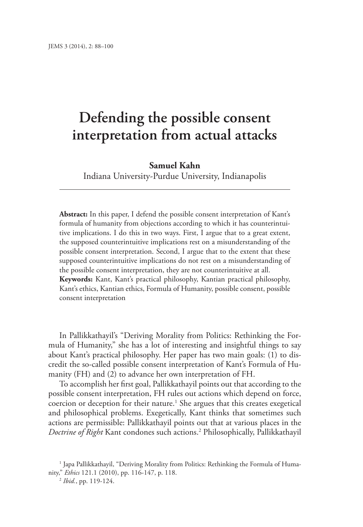# **Defending the possible consent interpretation from actual attacks**

# **Samuel Kahn**

Indiana University-Purdue University, Indianapolis

**Abstract:** In this paper, I defend the possible consent interpretation of Kant's formula of humanity from objections according to which it has counterintuitive implications. I do this in two ways. First, I argue that to a great extent, the supposed counterintuitive implications rest on a misunderstanding of the possible consent interpretation. Second, I argue that to the extent that these supposed counterintuitive implications do not rest on a misunderstanding of the possible consent interpretation, they are not counterintuitive at all. **Keywords:** Kant, Kant's practical philosophy, Kantian practical philosophy,

Kant's ethics, Kantian ethics, Formula of Humanity, possible consent, possible consent interpretation

In Pallikkathayil's "Deriving Morality from Politics: Rethinking the Formula of Humanity," she has a lot of interesting and insightful things to say about Kant's practical philosophy. Her paper has two main goals: (1) to discredit the so-called possible consent interpretation of Kant's Formula of Humanity (FH) and (2) to advance her own interpretation of FH.

To accomplish her first goal, Pallikkathayil points out that according to the possible consent interpretation, FH rules out actions which depend on force, coercion or deception for their nature.<sup>1</sup> She argues that this creates exegetical and philosophical problems. Exegetically, Kant thinks that sometimes such actions are permissible: Pallikkathayil points out that at various places in the *Doctrine of Right* Kant condones such actions.2 Philosophically, Pallikkathayil

1 Japa Pallikkathayil, "Deriving Morality from Politics: Rethinking the Formula of Humanity," *Ethics* 121.1 (2010), pp. 116-147, p. 118.

<sup>2</sup> *Ibid.*, pp. 119-124.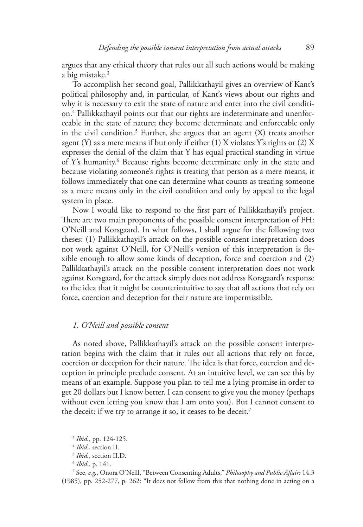argues that any ethical theory that rules out all such actions would be making a big mistake.3

To accomplish her second goal, Pallikkathayil gives an overview of Kant's political philosophy and, in particular, of Kant's views about our rights and why it is necessary to exit the state of nature and enter into the civil condition.4 Pallikkathayil points out that our rights are indeterminate and unenforceable in the state of nature; they become determinate and enforceable only in the civil condition.5 Further, she argues that an agent (X) treats another agent (Y) as a mere means if but only if either (1) X violates Y's rights or (2) X expresses the denial of the claim that Y has equal practical standing in virtue of Y's humanity.<sup>6</sup> Because rights become determinate only in the state and because violating someone's rights is treating that person as a mere means, it follows immediately that one can determine what counts as treating someone as a mere means only in the civil condition and only by appeal to the legal system in place.

Now I would like to respond to the first part of Pallikkathayil's project. There are two main proponents of the possible consent interpretation of FH: O'Neill and Korsgaard. In what follows, I shall argue for the following two theses: (1) Pallikkathayil's attack on the possible consent interpretation does not work against O'Neill, for O'Neill's version of this interpretation is flexible enough to allow some kinds of deception, force and coercion and (2) Pallikkathayil's attack on the possible consent interpretation does not work against Korsgaard, for the attack simply does not address Korsgaard's response to the idea that it might be counterintuitive to say that all actions that rely on force, coercion and deception for their nature are impermissible.

#### *1. O'Neill and possible consent*

As noted above, Pallikkathayil's attack on the possible consent interpretation begins with the claim that it rules out all actions that rely on force, coercion or deception for their nature. The idea is that force, coercion and deception in principle preclude consent. At an intuitive level, we can see this by means of an example. Suppose you plan to tell me a lying promise in order to get 20 dollars but I know better. I can consent to give you the money (perhaps without even letting you know that I am onto you). But I cannot consent to the deceit: if we try to arrange it so, it ceases to be deceit.<sup>7</sup>

<sup>3</sup> *Ibid.*, pp. 124-125.

<sup>4</sup> *Ibid.*, section II.

<sup>5</sup> *Ibid.*, section II.D.

<sup>6</sup> *Ibid.*, p. 141.

<sup>7</sup> See, *e.g.*, Onora O'Neill, "Between Consenting Adults," *Philosophy and Public Affairs* 14.3 (1985), pp. 252-277, p. 262: "It does not follow from this that nothing done in acting on a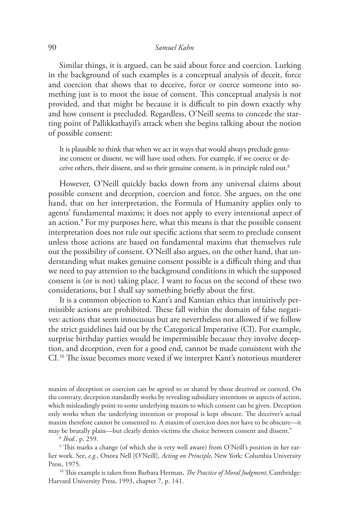# 90 *Samuel Kahn*

Similar things, it is argued, can be said about force and coercion. Lurking in the background of such examples is a conceptual analysis of deceit, force and coercion that shows that to deceive, force or coerce someone into something just is to moot the issue of consent. This conceptual analysis is not provided, and that might be because it is difficult to pin down exactly why and how consent is precluded. Regardless, O'Neill seems to concede the starting point of Pallikkathayil's attack when she begins talking about the notion of possible consent:

It is plausible to think that when we act in ways that would always preclude genuine consent or dissent, we will have used others. For example, if we coerce or deceive others, their dissent, and so their genuine consent, is in principle ruled out.8

However, O'Neill quickly backs down from any universal claims about possible consent and deception, coercion and force. She argues, on the one hand, that on her interpretation, the Formula of Humanity applies only to agents' fundamental maxims; it does not apply to every intentional aspect of an action.9 For my purposes here, what this means is that the possible consent interpretation does not rule out specific actions that seem to preclude consent unless those actions are based on fundamental maxims that themselves rule out the possibility of consent. O'Neill also argues, on the other hand, that understanding what makes genuine consent possible is a difficult thing and that we need to pay attention to the background conditions in which the supposed consent is (or is not) taking place. I want to focus on the second of these two considerations, but I shall say something briefly about the first.

It is a common objection to Kant's and Kantian ethics that intuitively permissible actions are prohibited. These fall within the domain of false negatives: actions that seem innocuous but are nevertheless not allowed if we follow the strict guidelines laid out by the Categorical Imperative (CI). For example, surprise birthday parties would be impermissible because they involve deception, and deception, even for a good end, cannot be made consistent with the CI.10 The issue becomes more vexed if we interpret Kant's notorious murderer

maxim of deception or coercion can be agreed to or shared by those deceived or coerced. On the contrary, deception standardly works by revealing subsidiary intentions or aspects of action, which misleadingly point to some underlying maxim to which consent can be given. Deception only works when the underlying intention or proposal is kept obscure. The deceiver's actual maxim therefore cannot be consented to. A maxim of coercion does not have to be obscure—it may be brutally plain—but clearly denies victims the choice between consent and dissent."

<sup>8</sup> *Ibid.*, p. 259.

9 This marks a change (of which she is very well aware) from O'Neill's position in her earlier work. See, *e.g.*, Onora Nell [O'Neill], *Acting on Principle*, New York: Columbia University Press, 1975.

10 This example is taken from Barbara Herman, *The Practice of Moral Judgment*, Cambridge: Harvard University Press, 1993, chapter 7, p. 141.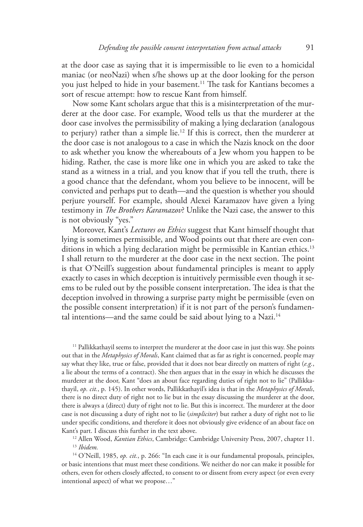at the door case as saying that it is impermissible to lie even to a homicidal maniac (or neoNazi) when s/he shows up at the door looking for the person you just helped to hide in your basement.11 The task for Kantians becomes a sort of rescue attempt: how to rescue Kant from himself.

Now some Kant scholars argue that this is a misinterpretation of the murderer at the door case. For example, Wood tells us that the murderer at the door case involves the permissibility of making a lying declaration (analogous to perjury) rather than a simple lie.12 If this is correct, then the murderer at the door case is not analogous to a case in which the Nazis knock on the door to ask whether you know the whereabouts of a Jew whom you happen to be hiding. Rather, the case is more like one in which you are asked to take the stand as a witness in a trial, and you know that if you tell the truth, there is a good chance that the defendant, whom you believe to be innocent, will be convicted and perhaps put to death—and the question is whether you should perjure yourself. For example, should Alexei Karamazov have given a lying testimony in *The Brothers Karamazov*? Unlike the Nazi case, the answer to this is not obviously "yes."

Moreover, Kant's *Lectures on Ethics* suggest that Kant himself thought that lying is sometimes permissible, and Wood points out that there are even conditions in which a lying declaration might be permissible in Kantian ethics.<sup>13</sup> I shall return to the murderer at the door case in the next section. The point is that O'Neill's suggestion about fundamental principles is meant to apply exactly to cases in which deception is intuitively permissible even though it seems to be ruled out by the possible consent interpretation. The idea is that the deception involved in throwing a surprise party might be permissible (even on the possible consent interpretation) if it is not part of the person's fundamental intentions—and the same could be said about lying to a Nazi.<sup>14</sup>

 $11$  Pallikkathayil seems to interpret the murderer at the door case in just this way. She points out that in the *Metaphysics of Morals*, Kant claimed that as far as right is concerned, people may say what they like, true or false, provided that it does not bear directly on matters of right (*e.g.*, a lie about the terms of a contract). She then argues that in the essay in which he discusses the murderer at the door, Kant "does an about face regarding duties of right not to lie" (Pallikkathayil, *op. cit.*, p. 145). In other words, Pallikkathayil's idea is that in the *Metaphysics of Morals*, there is no direct duty of right not to lie but in the essay discussing the murderer at the door, there is always a (direct) duty of right not to lie. But this is incorrect. The murderer at the door case is not discussing a duty of right not to lie (*simpliciter*) but rather a duty of right not to lie under specific conditions, and therefore it does not obviously give evidence of an about face on Kant's part. I discuss this further in the text above.

12 Allen Wood, *Kantian Ethics*, Cambridge: Cambridge University Press, 2007, chapter 11. <sup>13</sup> *Ibidem.*

<sup>14</sup> O'Neill, 1985, op. cit., p. 266: "In each case it is our fundamental proposals, principles, or basic intentions that must meet these conditions. We neither do nor can make it possible for others, even for others closely affected, to consent to or dissent from every aspect (or even every intentional aspect) of what we propose…"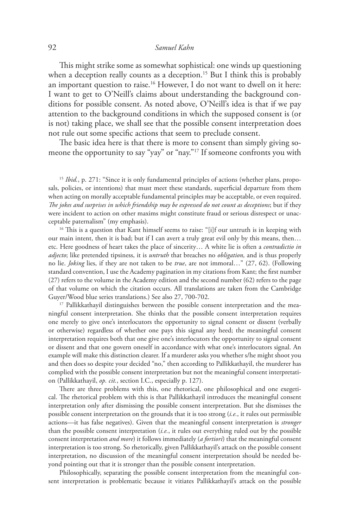#### 92 *Samuel Kahn*

This might strike some as somewhat sophistical: one winds up questioning when a deception really counts as a deception.<sup>15</sup> But I think this is probably an important question to raise.<sup>16</sup> However, I do not want to dwell on it here: I want to get to O'Neill's claims about understanding the background conditions for possible consent. As noted above, O'Neill's idea is that if we pay attention to the background conditions in which the supposed consent is (or is not) taking place, we shall see that the possible consent interpretation does not rule out some specific actions that seem to preclude consent.

The basic idea here is that there is more to consent than simply giving someone the opportunity to say "yay" or "nay."<sup>17</sup> If someone confronts you with

<sup>15</sup> *Ibid.*, p. 271: "Since it is only fundamental principles of actions (whether plans, proposals, policies, or intentions) that must meet these standards, superficial departure from them when acting on morally acceptable fundamental principles may be acceptable, or even required. *The jokes and surprises in which friendship may be expressed do not count as deceptions*; but if they were incident to action on other maxims might constitute fraud or serious disrespect or unacceptable paternalism" (my emphasis).

<sup>16</sup> This is a question that Kant himself seems to raise: "[i]f our untruth is in keeping with our main intent, then it is bad; but if I can avert a truly great evil only by this means, then… etc. Here goodness of heart takes the place of sincerity… A white lie is often a *contradictio in adjecto*; like pretended tipsiness, it is *untruth* that breaches no *obligation,* and is thus properly no lie. *Joking* lies, if they are not taken to be *true*, are not immoral…" (27, 62). (Following standard convention, I use the Academy pagination in my citations from Kant; the first number (27) refers to the volume in the Academy edition and the second number (62) refers to the page of that volume on which the citation occurs. All translations are taken from the Cambridge Guyer/Wood blue series translations.) See also 27, 700-702.

<sup>17</sup> Pallikkathayil distinguishes between the possible consent interpretation and the meaningful consent interpretation. She thinks that the possible consent interpretation requires one merely to give one's interlocutors the opportunity to signal consent or dissent (verbally or otherwise) regardless of whether one pays this signal any heed; the meaningful consent interpretation requires both that one give one's interlocutors the opportunity to signal consent or dissent and that one govern oneself in accordance with what one's interlocutors signal. An example will make this distinction clearer. If a murderer asks you whether s/he might shoot you and then does so despite your decided "no," then according to Pallikkathayil, the murderer has complied with the possible consent interpretation but not the meaningful consent interpretation (Pallikkathayil, *op. cit.*, section I.C., especially p. 127).

There are three problems with this, one rhetorical, one philosophical and one exegetical. The rhetorical problem with this is that Pallikkathayil introduces the meaningful consent interpretation only after dismissing the possible consent interpretation. But she dismisses the possible consent interpretation on the grounds that it is too strong (*i.e.*, it rules out permissible actions—it has false negatives). Given that the meaningful consent interpretation is *stronger* than the possible consent interpretation (*i.e.*, it rules out everything ruled out by the possible consent interpretation *and more*) it follows immediately (*a fortiori*) that the meaningful consent interpretation is too strong. So rhetorically, given Pallikkathayil's attack on the possible consent interpretation, no discussion of the meaningful consent interpretation should be needed beyond pointing out that it is stronger than the possible consent interpretation.

Philosophically, separating the possible consent interpretation from the meaningful consent interpretation is problematic because it vitiates Pallikkathayil's attack on the possible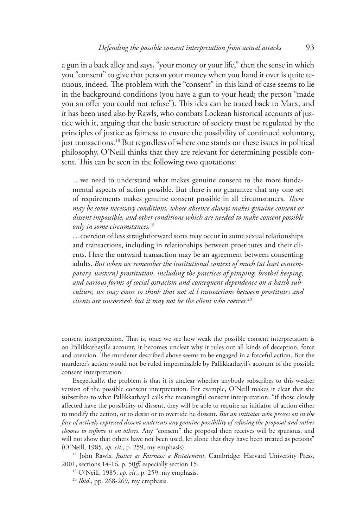a gun in a back alley and says, "your money or your life," then the sense in which you "consent" to give that person your money when you hand it over is quite tenuous, indeed. The problem with the "consent" in this kind of case seems to lie in the background conditions (you have a gun to your head; the person "made you an offer you could not refuse"). This idea can be traced back to Marx, and it has been used also by Rawls, who combats Lockean historical accounts of justice with it, arguing that the basic structure of society must be regulated by the principles of justice as fairness to ensure the possibility of continued voluntary, just transactions.18 But regardless of where one stands on these issues in political philosophy, O'Neill thinks that they are relevant for determining possible consent. This can be seen in the following two quotations:

…we need to understand what makes genuine consent to the more fundamental aspects of action possible. But there is no guarantee that any one set of requirements makes genuine consent possible in all circumstances. *There may be some necessary conditions, whose absence always makes genuine consent or dissent impossible, and other conditions which are needed to make consent possible only in some circumstances.*<sup>19</sup>

…coercion of less straightforward sorts may occur in some sexual relationships and transactions, including in relationships between prostitutes and their clients. Here the outward transaction may be an agreement between consenting adults. *But when we remember the institutional context of much (at least contemporary, western) prostitution, including the practices of pimping, brothel keeping, and various forms of social ostracism and consequent dependence on a harsh subculture, we may come to think that not al l transactions between prostitutes and clients are uncoerced: but it may not be the client who coerces.*<sup>20</sup>

consent interpretation. That is, once we see how weak the possible consent interpretation is on Pallikkathayil's account, it becomes unclear why it rules out all kinds of deception, force and coercion. The murderer described above seems to be engaged in a forceful action. But the murderer's action would not be ruled impermissible by Pallikkathayil's account of the possible consent interpretation.

Exegetically, the problem is that it is unclear whether anybody subscribes to this weaker version of the possible consent interpretation. For example, O'Neill makes it clear that she subscribes to what Pallikkathayil calls the meaningful consent interpretation: "if those closely affected have the possibility of dissent, they will be able to require an initiator of action either to modify the action, or to desist or to override he dissent. *But an initiator who presses on in the face of actively expressed dissent undercuts any genuine possibility of refusing the proposal and rather chooses to enforce it on others*. Any "consent" the proposal then receives will be spurious, and will not show that others have not been used, let alone that they have been treated as persons" (O'Neill, 1985, *op. cit.*, p. 259, my emphasis).

18 John Rawls, *Justice as Fairness: a Restatement*, Cambridge: Harvard University Press, 2001, sections 14-16, p. 50*ff*, especially section 15.

19 O'Neill, 1985, *op. cit.*, p. 259, my emphasis.

<sup>20</sup> *Ibid.*, pp. 268-269, my emphasis.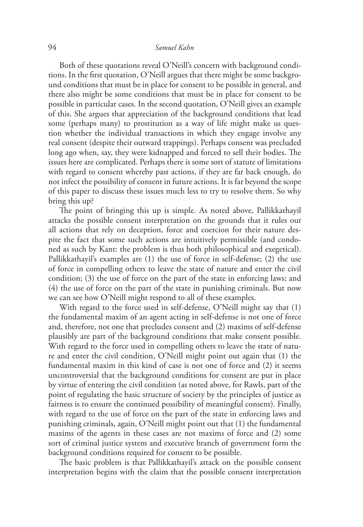## 94 *Samuel Kahn*

Both of these quotations reveal O'Neill's concern with background conditions. In the first quotation, O'Neill argues that there might be some background conditions that must be in place for consent to be possible in general, and there also might be some conditions that must be in place for consent to be possible in particular cases. In the second quotation, O'Neill gives an example of this. She argues that appreciation of the background conditions that lead some (perhaps many) to prostitution as a way of life might make us question whether the individual transactions in which they engage involve any real consent (despite their outward trappings). Perhaps consent was precluded long ago when, say, they were kidnapped and forced to sell their bodies. The issues here are complicated. Perhaps there is some sort of statute of limitations with regard to consent whereby past actions, if they are far back enough, do not infect the possibility of consent in future actions. It is far beyond the scope of this paper to discuss these issues much less to try to resolve them. So why bring this up?

The point of bringing this up is simple. As noted above, Pallikkathayil attacks the possible consent interpretation on the grounds that it rules out all actions that rely on deception, force and coercion for their nature despite the fact that some such actions are intuitively permissible (and condoned as such by Kant: the problem is thus both philosophical and exegetical). Pallikkathayil's examples are (1) the use of force in self-defense; (2) the use of force in compelling others to leave the state of nature and enter the civil condition; (3) the use of force on the part of the state in enforcing laws; and (4) the use of force on the part of the state in punishing criminals. But now we can see how O'Neill might respond to all of these examples.

With regard to the force used in self-defense, O'Neill might say that (1) the fundamental maxim of an agent acting in self-defense is not one of force and, therefore, not one that precludes consent and (2) maxims of self-defense plausibly are part of the background conditions that make consent possible. With regard to the force used in compelling others to leave the state of nature and enter the civil condition, O'Neill might point out again that (1) the fundamental maxim in this kind of case is not one of force and (2) it seems uncontroversial that the background conditions for consent are put in place by virtue of entering the civil condition (as noted above, for Rawls, part of the point of regulating the basic structure of society by the principles of justice as fairness is to ensure the continued possibility of meaningful consent). Finally, with regard to the use of force on the part of the state in enforcing laws and punishing criminals, again, O'Neill might point out that (1) the fundamental maxims of the agents in these cases are not maxims of force and (2) some sort of criminal justice system and executive branch of government form the background conditions required for consent to be possible.

The basic problem is that Pallikkathayil's attack on the possible consent interpretation begins with the claim that the possible consent interpretation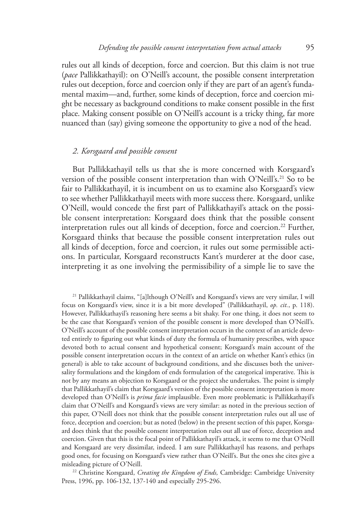rules out all kinds of deception, force and coercion. But this claim is not true (*pace* Pallikkathayil): on O'Neill's account, the possible consent interpretation rules out deception, force and coercion only if they are part of an agent's fundamental maxim—and, further, some kinds of deception, force and coercion might be necessary as background conditions to make consent possible in the first place. Making consent possible on O'Neill's account is a tricky thing, far more nuanced than (say) giving someone the opportunity to give a nod of the head.

# *2. Korsgaard and possible consent*

But Pallikkathayil tells us that she is more concerned with Korsgaard's version of the possible consent interpretation than with O'Neill's.<sup>21</sup> So to be fair to Pallikkathayil, it is incumbent on us to examine also Korsgaard's view to see whether Pallikkathayil meets with more success there. Korsgaard, unlike O'Neill, would concede the first part of Pallikkathayil's attack on the possible consent interpretation: Korsgaard does think that the possible consent interpretation rules out all kinds of deception, force and coercion.<sup>22</sup> Further, Korsgaard thinks that because the possible consent interpretation rules out all kinds of deception, force and coercion, it rules out some permissible actions. In particular, Korsgaard reconstructs Kant's murderer at the door case, interpreting it as one involving the permissibility of a simple lie to save the

21 Pallikkathayil claims, "[a]lthough O'Neill's and Korsgaard's views are very similar, I will focus on Korsgaard's view, since it is a bit more developed" (Pallikkathayil, *op. cit.*, p. 118). However, Pallikkathayil's reasoning here seems a bit shaky. For one thing, it does not seem to be the case that Korsgaard's version of the possible consent is more developed than O'Neill's. O'Neill's account of the possible consent interpretation occurs in the context of an article devoted entirely to figuring out what kinds of duty the formula of humanity prescribes, with space devoted both to actual consent and hypothetical consent; Korsgaard's main account of the possible consent interpretation occurs in the context of an article on whether Kant's ethics (in general) is able to take account of background conditions, and she discusses both the universality formulations and the kingdom of ends formulation of the categorical imperative. This is not by any means an objection to Korsgaard or the project she undertakes. The point is simply that Pallikkathayil's claim that Korsgaard's version of the possible consent interpretation is more developed than O'Neill's is *prima facie* implausible. Even more problematic is Pallikkathayil's claim that O'Neill's and Korsgaard's views are very similar: as noted in the previous section of this paper, O'Neill does not think that the possible consent interpretation rules out all use of force, deception and coercion; but as noted (below) in the present section of this paper, Korsgaard does think that the possible consent interpretation rules out all use of force, deception and coercion. Given that this is the focal point of Pallikkathayil's attack, it seems to me that O'Neill and Korsgaard are very dissimilar, indeed. I am sure Pallikkathayil has reasons, and perhaps good ones, for focusing on Korsgaard's view rather than O'Neill's. But the ones she cites give a misleading picture of O'Neill. 22 Christine Korsgaard, *Creating the Kingdom of Ends,* Cambridge: Cambridge University

Press, 1996, pp. 106-132, 137-140 and especially 295-296.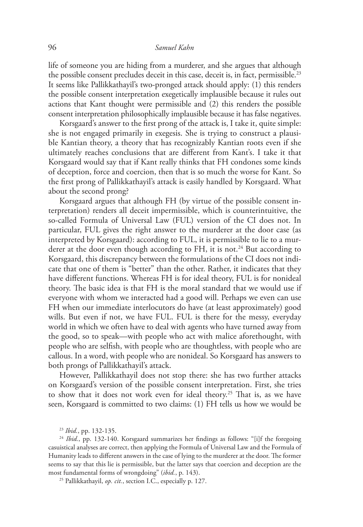life of someone you are hiding from a murderer, and she argues that although the possible consent precludes deceit in this case, deceit is, in fact, permissible.<sup>23</sup> It seems like Pallikkathayil's two-pronged attack should apply: (1) this renders the possible consent interpretation exegetically implausible because it rules out actions that Kant thought were permissible and (2) this renders the possible consent interpretation philosophically implausible because it has false negatives.

Korsgaard's answer to the first prong of the attack is, I take it, quite simple: she is not engaged primarily in exegesis. She is trying to construct a plausible Kantian theory, a theory that has recognizably Kantian roots even if she ultimately reaches conclusions that are different from Kant's. I take it that Korsgaard would say that if Kant really thinks that FH condones some kinds of deception, force and coercion, then that is so much the worse for Kant. So the first prong of Pallikkathayil's attack is easily handled by Korsgaard. What about the second prong?

Korsgaard argues that although FH (by virtue of the possible consent interpretation) renders all deceit impermissible, which is counterintuitive, the so-called Formula of Universal Law (FUL) version of the CI does not. In particular, FUL gives the right answer to the murderer at the door case (as interpreted by Korsgaard): according to FUL, it is permissible to lie to a murderer at the door even though according to FH, it is not.<sup>24</sup> But according to Korsgaard, this discrepancy between the formulations of the CI does not indicate that one of them is "better" than the other. Rather, it indicates that they have different functions. Whereas FH is for ideal theory, FUL is for nonideal theory. The basic idea is that FH is the moral standard that we would use if everyone with whom we interacted had a good will. Perhaps we even can use FH when our immediate interlocutors do have (at least approximately) good wills. But even if not, we have FUL. FUL is there for the messy, everyday world in which we often have to deal with agents who have turned away from the good, so to speak—with people who act with malice aforethought, with people who are selfish, with people who are thoughtless, with people who are callous. In a word, with people who are nonideal. So Korsgaard has answers to both prongs of Pallikkathayil's attack.

However, Pallikkathayil does not stop there: she has two further attacks on Korsgaard's version of the possible consent interpretation. First, she tries to show that it does not work even for ideal theory.<sup>25</sup> That is, as we have seen, Korsgaard is committed to two claims: (1) FH tells us how we would be

<sup>24</sup> Ibid., pp. 132-140. Korsgaard summarizes her findings as follows: "[i]f the foregoing casuistical analyses are correct, then applying the Formula of Universal Law and the Formula of Humanity leads to different answers in the case of lying to the murderer at the door. The former seems to say that this lie is permissible, but the latter says that coercion and deception are the most fundamental forms of wrongdoing" (*ibid.*, p. 143).

25 Pallikkathayil, *op. cit.*, section I.C., especially p. 127.

<sup>23</sup> *Ibid.*, pp. 132-135.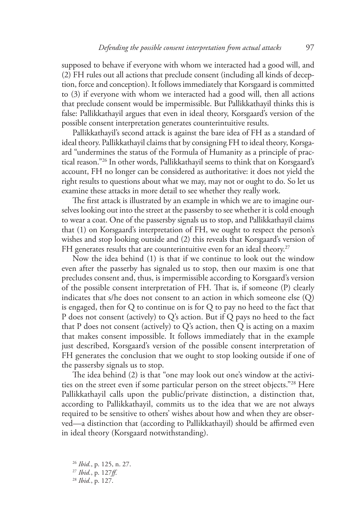supposed to behave if everyone with whom we interacted had a good will, and (2) FH rules out all actions that preclude consent (including all kinds of deception, force and conception). It follows immediately that Korsgaard is committed to (3) if everyone with whom we interacted had a good will, then all actions that preclude consent would be impermissible. But Pallikkathayil thinks this is false: Pallikkathayil argues that even in ideal theory, Korsgaard's version of the possible consent interpretation generates counterintuitive results.

Pallikkathayil's second attack is against the bare idea of FH as a standard of ideal theory. Pallikkathayil claims that by consigning FH to ideal theory, Korsgaard "undermines the status of the Formula of Humanity as a principle of practical reason."26 In other words, Pallikkathayil seems to think that on Korsgaard's account, FH no longer can be considered as authoritative: it does not yield the right results to questions about what we may, may not or ought to do. So let us examine these attacks in more detail to see whether they really work.

The first attack is illustrated by an example in which we are to imagine ourselves looking out into the street at the passersby to see whether it is cold enough to wear a coat. One of the passersby signals us to stop, and Pallikkathayil claims that (1) on Korsgaard's interpretation of FH, we ought to respect the person's wishes and stop looking outside and (2) this reveals that Korsgaard's version of FH generates results that are counterintuitive even for an ideal theory.<sup>27</sup>

Now the idea behind (1) is that if we continue to look out the window even after the passerby has signaled us to stop, then our maxim is one that precludes consent and, thus, is impermissible according to Korsgaard's version of the possible consent interpretation of FH. That is, if someone (P) clearly indicates that s/he does not consent to an action in which someone else (Q) is engaged, then for Q to continue on is for Q to pay no heed to the fact that P does not consent (actively) to Q's action. But if Q pays no heed to the fact that P does not consent (actively) to  $Q$ 's action, then  $Q$  is acting on a maxim that makes consent impossible. It follows immediately that in the example just described, Korsgaard's version of the possible consent interpretation of FH generates the conclusion that we ought to stop looking outside if one of the passersby signals us to stop.

The idea behind (2) is that "one may look out one's window at the activities on the street even if some particular person on the street objects."28 Here Pallikkathayil calls upon the public/private distinction, a distinction that, according to Pallikkathayil, commits us to the idea that we are not always required to be sensitive to others' wishes about how and when they are observed—a distinction that (according to Pallikkathayil) should be affirmed even in ideal theory (Korsgaard notwithstanding).

<sup>26</sup> *Ibid.*, p. 125, n. 27.

<sup>27</sup> *Ibid.*, p. 127*ff*.

<sup>28</sup> *Ibid.*, p. 127.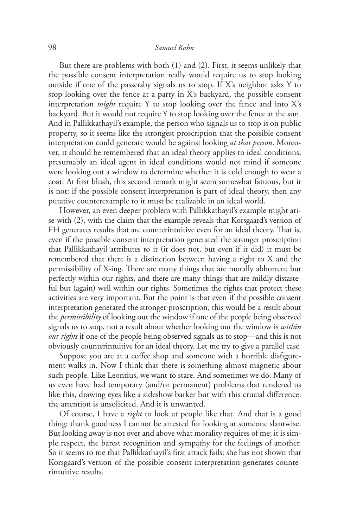But there are problems with both (1) and (2). First, it seems unlikely that the possible consent interpretation really would require us to stop looking outside if one of the passersby signals us to stop. If X's neighbor asks Y to stop looking over the fence at a party in X's backyard, the possible consent interpretation *might* require Y to stop looking over the fence and into X's backyard. But it would not require Y to stop looking over the fence at the sun. And in Pallikkathayil's example, the person who signals us to stop is on public property, so it seems like the strongest proscription that the possible consent interpretation could generate would be against looking *at that person*. Moreover, it should be remembered that an ideal theory applies to ideal conditions; presumably an ideal agent in ideal conditions would not mind if someone were looking out a window to determine whether it is cold enough to wear a coat. At first blush, this second remark might seem somewhat fatuous, but it is not: if the possible consent interpretation is part of ideal theory, then any putative counterexample to it must be realizable in an ideal world.

However, an even deeper problem with Pallikkathayil's example might arise with (2), with the claim that the example reveals that Korsgaard's version of FH generates results that are counterintuitive even for an ideal theory. That is, even if the possible consent interpretation generated the stronger proscription that Pallikkathayil attributes to it (it does not, but even if it did) it must be remembered that there is a distinction between having a right to X and the permissibility of X-ing. There are many things that are morally abhorrent but perfectly within our rights, and there are many things that are mildly distasteful but (again) well within our rights. Sometimes the rights that protect these activities are very important. But the point is that even if the possible consent interpretation generated the stronger proscription, this would be a result about the *permissibility* of looking out the window if one of the people being observed signals us to stop, not a result about whether looking out the window is *within our rights* if one of the people being observed signals us to stop—and this is not obviously counterintuitive for an ideal theory. Let me try to give a parallel case.

Suppose you are at a coffee shop and someone with a horrible disfigurement walks in. Now I think that there is something almost magnetic about such people. Like Leontius, we want to stare. And sometimes we do. Many of us even have had temporary (and/or permanent) problems that rendered us like this, drawing eyes like a sideshow barker but with this crucial difference: the attention is unsolicited. And it is unwanted.

Of course, I have a *right* to look at people like that. And that is a good thing: thank goodness I cannot be arrested for looking at someone slantwise. But looking away is not over and above what morality requires of me; it is simple respect, the barest recognition and sympathy for the feelings of another. So it seems to me that Pallikkathayil's first attack fails: she has not shown that Korsgaard's version of the possible consent interpretation generates counterintuitive results.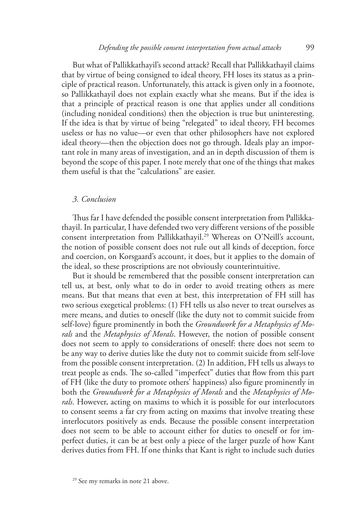But what of Pallikkathayil's second attack? Recall that Pallikkathayil claims that by virtue of being consigned to ideal theory, FH loses its status as a principle of practical reason. Unfortunately, this attack is given only in a footnote, so Pallikkathayil does not explain exactly what she means. But if the idea is that a principle of practical reason is one that applies under all conditions (including nonideal conditions) then the objection is true but uninteresting. If the idea is that by virtue of being "relegated" to ideal theory, FH becomes useless or has no value—or even that other philosophers have not explored ideal theory—then the objection does not go through. Ideals play an important role in many areas of investigation, and an in depth discussion of them is beyond the scope of this paper. I note merely that one of the things that makes them useful is that the "calculations" are easier.

#### *3. Conclusion*

Thus far I have defended the possible consent interpretation from Pallikkathayil. In particular, I have defended two very different versions of the possible consent interpretation from Pallikkathayil.<sup>29</sup> Whereas on O'Neill's account, the notion of possible consent does not rule out all kinds of deception, force and coercion, on Korsgaard's account, it does, but it applies to the domain of the ideal, so these proscriptions are not obviously counterintuitive.

But it should be remembered that the possible consent interpretation can tell us, at best, only what to do in order to avoid treating others as mere means. But that means that even at best, this interpretation of FH still has two serious exegetical problems: (1) FH tells us also never to treat ourselves as mere means, and duties to oneself (like the duty not to commit suicide from self-love) figure prominently in both the *Groundwork for a Metaphysics of Morals* and the *Metaphysics of Morals*. However, the notion of possible consent does not seem to apply to considerations of oneself: there does not seem to be any way to derive duties like the duty not to commit suicide from self-love from the possible consent interpretation. (2) In addition, FH tells us always to treat people as ends. The so-called "imperfect" duties that flow from this part of FH (like the duty to promote others' happiness) also figure prominently in both the *Groundwork for a Metaphysics of Morals* and the *Metaphysics of Morals*. However, acting on maxims to which it is possible for our interlocutors to consent seems a far cry from acting on maxims that involve treating these interlocutors positively as ends. Because the possible consent interpretation does not seem to be able to account either for duties to oneself or for imperfect duties, it can be at best only a piece of the larger puzzle of how Kant derives duties from FH. If one thinks that Kant is right to include such duties

<sup>29</sup> See my remarks in note 21 above.